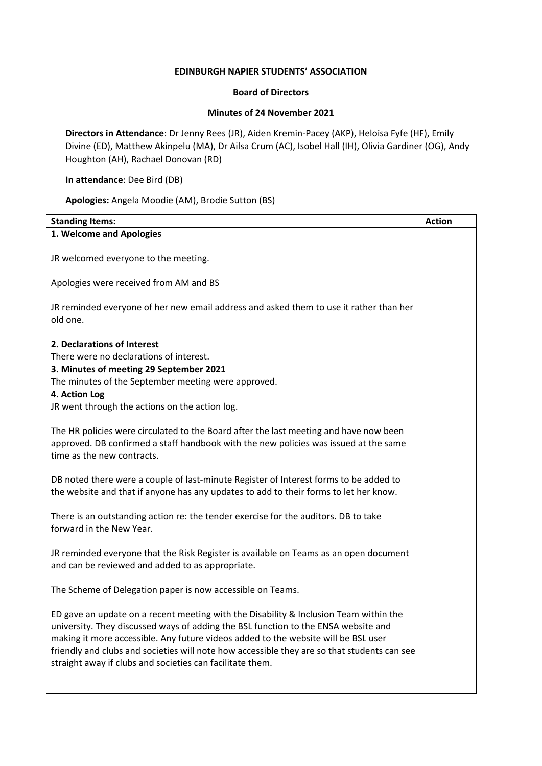## **EDINBURGH NAPIER STUDENTS' ASSOCIATION**

## **Board of Directors**

## **Minutes of 24 November 2021**

**Directors in Attendance**: Dr Jenny Rees (JR), Aiden Kremin-Pacey (AKP), Heloisa Fyfe (HF), Emily Divine (ED), Matthew Akinpelu (MA), Dr Ailsa Crum (AC), Isobel Hall (IH), Olivia Gardiner (OG), Andy Houghton (AH), Rachael Donovan (RD)

## **In attendance**: Dee Bird (DB)

**Apologies:** Angela Moodie (AM), Brodie Sutton (BS)

| <b>Standing Items:</b>                                                                                                                                                                                                                                                                                                                                                                                                        | <b>Action</b> |
|-------------------------------------------------------------------------------------------------------------------------------------------------------------------------------------------------------------------------------------------------------------------------------------------------------------------------------------------------------------------------------------------------------------------------------|---------------|
| 1. Welcome and Apologies                                                                                                                                                                                                                                                                                                                                                                                                      |               |
| JR welcomed everyone to the meeting.                                                                                                                                                                                                                                                                                                                                                                                          |               |
| Apologies were received from AM and BS                                                                                                                                                                                                                                                                                                                                                                                        |               |
| JR reminded everyone of her new email address and asked them to use it rather than her<br>old one.                                                                                                                                                                                                                                                                                                                            |               |
| 2. Declarations of Interest                                                                                                                                                                                                                                                                                                                                                                                                   |               |
| There were no declarations of interest.                                                                                                                                                                                                                                                                                                                                                                                       |               |
| 3. Minutes of meeting 29 September 2021<br>The minutes of the September meeting were approved.                                                                                                                                                                                                                                                                                                                                |               |
| 4. Action Log                                                                                                                                                                                                                                                                                                                                                                                                                 |               |
| JR went through the actions on the action log.                                                                                                                                                                                                                                                                                                                                                                                |               |
| The HR policies were circulated to the Board after the last meeting and have now been<br>approved. DB confirmed a staff handbook with the new policies was issued at the same<br>time as the new contracts.                                                                                                                                                                                                                   |               |
| DB noted there were a couple of last-minute Register of Interest forms to be added to<br>the website and that if anyone has any updates to add to their forms to let her know.                                                                                                                                                                                                                                                |               |
| There is an outstanding action re: the tender exercise for the auditors. DB to take<br>forward in the New Year.                                                                                                                                                                                                                                                                                                               |               |
| JR reminded everyone that the Risk Register is available on Teams as an open document<br>and can be reviewed and added to as appropriate.                                                                                                                                                                                                                                                                                     |               |
| The Scheme of Delegation paper is now accessible on Teams.                                                                                                                                                                                                                                                                                                                                                                    |               |
| ED gave an update on a recent meeting with the Disability & Inclusion Team within the<br>university. They discussed ways of adding the BSL function to the ENSA website and<br>making it more accessible. Any future videos added to the website will be BSL user<br>friendly and clubs and societies will note how accessible they are so that students can see<br>straight away if clubs and societies can facilitate them. |               |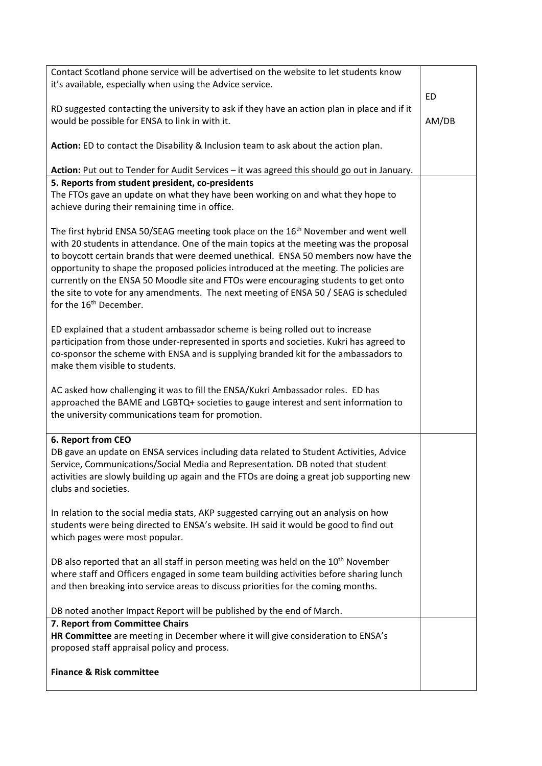| Contact Scotland phone service will be advertised on the website to let students know<br>it's available, especially when using the Advice service.                                                                                                                                                                                                                                                                                                                                                                                                                                             |             |
|------------------------------------------------------------------------------------------------------------------------------------------------------------------------------------------------------------------------------------------------------------------------------------------------------------------------------------------------------------------------------------------------------------------------------------------------------------------------------------------------------------------------------------------------------------------------------------------------|-------------|
| RD suggested contacting the university to ask if they have an action plan in place and if it<br>would be possible for ENSA to link in with it.                                                                                                                                                                                                                                                                                                                                                                                                                                                 | ED<br>AM/DB |
| Action: ED to contact the Disability & Inclusion team to ask about the action plan.                                                                                                                                                                                                                                                                                                                                                                                                                                                                                                            |             |
| Action: Put out to Tender for Audit Services - it was agreed this should go out in January.                                                                                                                                                                                                                                                                                                                                                                                                                                                                                                    |             |
| 5. Reports from student president, co-presidents<br>The FTOs gave an update on what they have been working on and what they hope to<br>achieve during their remaining time in office.                                                                                                                                                                                                                                                                                                                                                                                                          |             |
| The first hybrid ENSA 50/SEAG meeting took place on the 16 <sup>th</sup> November and went well<br>with 20 students in attendance. One of the main topics at the meeting was the proposal<br>to boycott certain brands that were deemed unethical. ENSA 50 members now have the<br>opportunity to shape the proposed policies introduced at the meeting. The policies are<br>currently on the ENSA 50 Moodle site and FTOs were encouraging students to get onto<br>the site to vote for any amendments. The next meeting of ENSA 50 / SEAG is scheduled<br>for the 16 <sup>th</sup> December. |             |
| ED explained that a student ambassador scheme is being rolled out to increase<br>participation from those under-represented in sports and societies. Kukri has agreed to<br>co-sponsor the scheme with ENSA and is supplying branded kit for the ambassadors to<br>make them visible to students.                                                                                                                                                                                                                                                                                              |             |
| AC asked how challenging it was to fill the ENSA/Kukri Ambassador roles. ED has<br>approached the BAME and LGBTQ+ societies to gauge interest and sent information to<br>the university communications team for promotion.                                                                                                                                                                                                                                                                                                                                                                     |             |
| 6. Report from CEO<br>DB gave an update on ENSA services including data related to Student Activities, Advice<br>Service, Communications/Social Media and Representation. DB noted that student<br>activities are slowly building up again and the FTOs are doing a great job supporting new<br>clubs and societies.                                                                                                                                                                                                                                                                           |             |
| In relation to the social media stats, AKP suggested carrying out an analysis on how<br>students were being directed to ENSA's website. IH said it would be good to find out<br>which pages were most popular.                                                                                                                                                                                                                                                                                                                                                                                 |             |
| DB also reported that an all staff in person meeting was held on the 10 <sup>th</sup> November<br>where staff and Officers engaged in some team building activities before sharing lunch<br>and then breaking into service areas to discuss priorities for the coming months.                                                                                                                                                                                                                                                                                                                  |             |
| DB noted another Impact Report will be published by the end of March.                                                                                                                                                                                                                                                                                                                                                                                                                                                                                                                          |             |
| 7. Report from Committee Chairs<br>HR Committee are meeting in December where it will give consideration to ENSA's<br>proposed staff appraisal policy and process.                                                                                                                                                                                                                                                                                                                                                                                                                             |             |
| <b>Finance &amp; Risk committee</b>                                                                                                                                                                                                                                                                                                                                                                                                                                                                                                                                                            |             |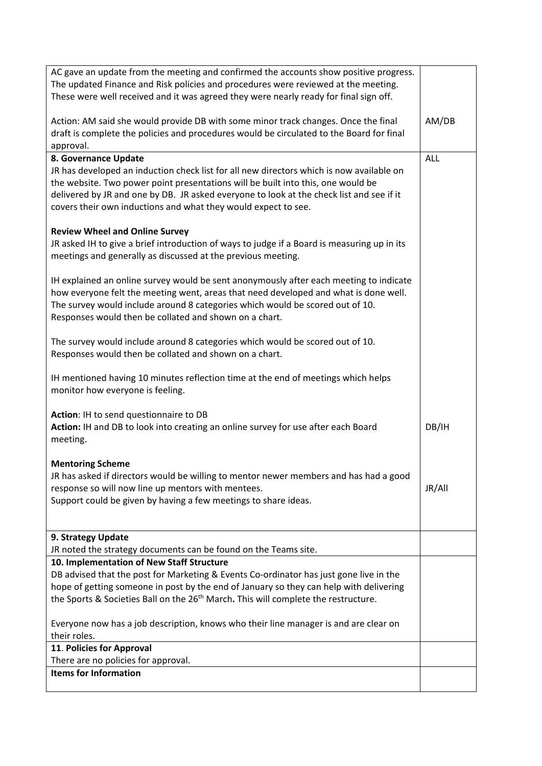| AC gave an update from the meeting and confirmed the accounts show positive progress.<br>The updated Finance and Risk policies and procedures were reviewed at the meeting.                                                                                                                                                                |            |
|--------------------------------------------------------------------------------------------------------------------------------------------------------------------------------------------------------------------------------------------------------------------------------------------------------------------------------------------|------------|
| These were well received and it was agreed they were nearly ready for final sign off.                                                                                                                                                                                                                                                      |            |
| Action: AM said she would provide DB with some minor track changes. Once the final<br>draft is complete the policies and procedures would be circulated to the Board for final<br>approval.                                                                                                                                                | AM/DB      |
| 8. Governance Update                                                                                                                                                                                                                                                                                                                       | <b>ALL</b> |
| JR has developed an induction check list for all new directors which is now available on<br>the website. Two power point presentations will be built into this, one would be<br>delivered by JR and one by DB. JR asked everyone to look at the check list and see if it<br>covers their own inductions and what they would expect to see. |            |
| <b>Review Wheel and Online Survey</b>                                                                                                                                                                                                                                                                                                      |            |
| JR asked IH to give a brief introduction of ways to judge if a Board is measuring up in its<br>meetings and generally as discussed at the previous meeting.                                                                                                                                                                                |            |
| IH explained an online survey would be sent anonymously after each meeting to indicate<br>how everyone felt the meeting went, areas that need developed and what is done well.<br>The survey would include around 8 categories which would be scored out of 10.<br>Responses would then be collated and shown on a chart.                  |            |
| The survey would include around 8 categories which would be scored out of 10.<br>Responses would then be collated and shown on a chart.                                                                                                                                                                                                    |            |
| IH mentioned having 10 minutes reflection time at the end of meetings which helps<br>monitor how everyone is feeling.                                                                                                                                                                                                                      |            |
| Action: IH to send questionnaire to DB<br>Action: IH and DB to look into creating an online survey for use after each Board<br>meeting.                                                                                                                                                                                                    | DB/IH      |
|                                                                                                                                                                                                                                                                                                                                            |            |
| <b>Mentoring Scheme</b><br>JR has asked if directors would be willing to mentor newer members and has had a good<br>response so will now line up mentors with mentees.<br>Support could be given by having a few meetings to share ideas.                                                                                                  | JR/All     |
|                                                                                                                                                                                                                                                                                                                                            |            |
| 9. Strategy Update<br>JR noted the strategy documents can be found on the Teams site.                                                                                                                                                                                                                                                      |            |
| 10. Implementation of New Staff Structure                                                                                                                                                                                                                                                                                                  |            |
| DB advised that the post for Marketing & Events Co-ordinator has just gone live in the                                                                                                                                                                                                                                                     |            |
| hope of getting someone in post by the end of January so they can help with delivering                                                                                                                                                                                                                                                     |            |
| the Sports & Societies Ball on the 26 <sup>th</sup> March. This will complete the restructure.                                                                                                                                                                                                                                             |            |
| Everyone now has a job description, knows who their line manager is and are clear on<br>their roles.                                                                                                                                                                                                                                       |            |
|                                                                                                                                                                                                                                                                                                                                            |            |
| 11. Policies for Approval<br>There are no policies for approval.                                                                                                                                                                                                                                                                           |            |
| <b>Items for Information</b>                                                                                                                                                                                                                                                                                                               |            |
|                                                                                                                                                                                                                                                                                                                                            |            |